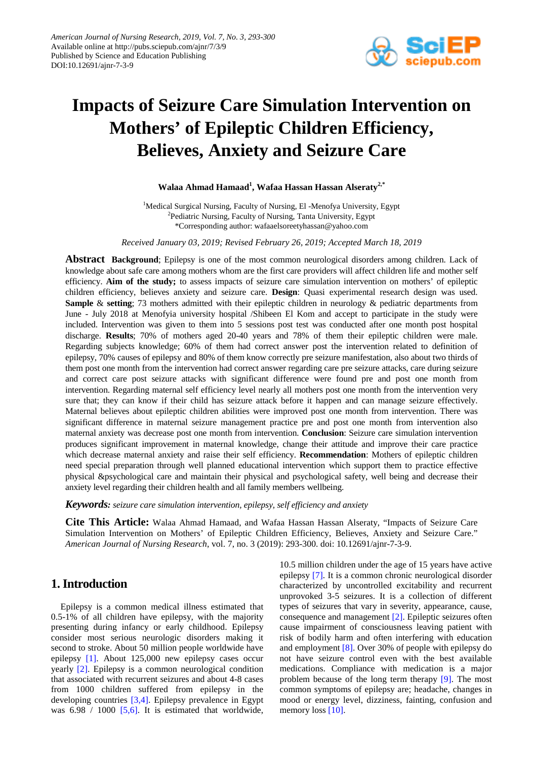

# **Impacts of Seizure Care Simulation Intervention on Mothers' of Epileptic Children Efficiency, Believes, Anxiety and Seizure Care**

## **Walaa Ahmad Hamaad1 , Wafaa Hassan Hassan Alseraty2,\***

<sup>1</sup>Medical Surgical Nursing, Faculty of Nursing, El -Menofya University, Egypt <sup>2</sup>Pediatric Nursing, Faculty of Nursing, Tanta University, Egypt \*Corresponding author: wafaaelsoreetyhassan@yahoo.com

*Received January 03, 2019; Revised February 26, 2019; Accepted March 18, 2019*

**Abstract Background**; Epilepsy is one of the most common neurological disorders among children. Lack of knowledge about safe care among mothers whom are the first care providers will affect children life and mother self efficiency. **Aim of the study;** to assess impacts of seizure care simulation intervention on mothers' of epileptic children efficiency, believes anxiety and seizure care. **Design**: Quasi experimental research design was used. **Sample** & **setting**; 73 mothers admitted with their epileptic children in neurology & pediatric departments from June - July 2018 at Menofyia university hospital /Shibeen El Kom and accept to participate in the study were included. Intervention was given to them into 5 sessions post test was conducted after one month post hospital discharge. **Results**; 70% of mothers aged 20-40 years and 78% of them their epileptic children were male. Regarding subjects knowledge; 60% of them had correct answer post the intervention related to definition of epilepsy, 70% causes of epilepsy and 80% of them know correctly pre seizure manifestation, also about two thirds of them post one month from the intervention had correct answer regarding care pre seizure attacks, care during seizure and correct care post seizure attacks with significant difference were found pre and post one month from intervention. Regarding maternal self efficiency level nearly all mothers post one month from the intervention very sure that; they can know if their child has seizure attack before it happen and can manage seizure effectively. Maternal believes about epileptic children abilities were improved post one month from intervention. There was significant difference in maternal seizure management practice pre and post one month from intervention also maternal anxiety was decrease post one month from intervention. **Conclusion**: Seizure care simulation intervention produces significant improvement in maternal knowledge, change their attitude and improve their care practice which decrease maternal anxiety and raise their self efficiency. **Recommendation**: Mothers of epileptic children need special preparation through well planned educational intervention which support them to practice effective physical &psychological care and maintain their physical and psychological safety, well being and decrease their anxiety level regarding their children health and all family members wellbeing.

*Keywords: seizure care simulation intervention, epilepsy, self efficiency and anxiety*

**Cite This Article:** Walaa Ahmad Hamaad, and Wafaa Hassan Hassan Alseraty, "Impacts of Seizure Care Simulation Intervention on Mothers' of Epileptic Children Efficiency, Believes, Anxiety and Seizure Care." *American Journal of Nursing Research*, vol. 7, no. 3 (2019): 293-300. doi: 10.12691/ajnr-7-3-9.

# **1. Introduction**

Epilepsy is a common medical illness estimated that 0.5-1% of all children have epilepsy, with the majority presenting during infancy or early childhood. Epilepsy consider most serious neurologic disorders making it second to stroke. About 50 million people worldwide have epilepsy [\[1\].](#page-5-0) About 125,000 new epilepsy cases occur yearly [\[2\].](#page-5-1) Epilepsy is a common neurological condition that associated with recurrent seizures and about 4-8 cases from 1000 children suffered from epilepsy in the developing countries [\[3,4\].](#page-6-0) Epilepsy prevalence in Egypt was  $6.98 / 1000$  [\[5,6\].](#page-6-1) It is estimated that worldwide, 10.5 million children under the age of 15 years have active epilepsy [\[7\].](#page-6-2) It is a common chronic neurological disorder characterized by uncontrolled excitability and recurrent unprovoked 3-5 seizures. It is a collection of different types of seizures that vary in severity, appearance, cause, consequence and managemen[t \[2\].](#page-5-1) Epileptic seizures often cause impairment of consciousness leaving patient with risk of bodily harm and often interfering with education and employmen[t \[8\].](#page-6-3) Over 30% of people with epilepsy do not have seizure control even with the best available medications. Compliance with medication is a major problem because of the long term therapy [\[9\].](#page-6-4) The most common symptoms of epilepsy are; headache, changes in mood or energy level, dizziness, fainting, confusion and memory loss [\[10\].](#page-6-5)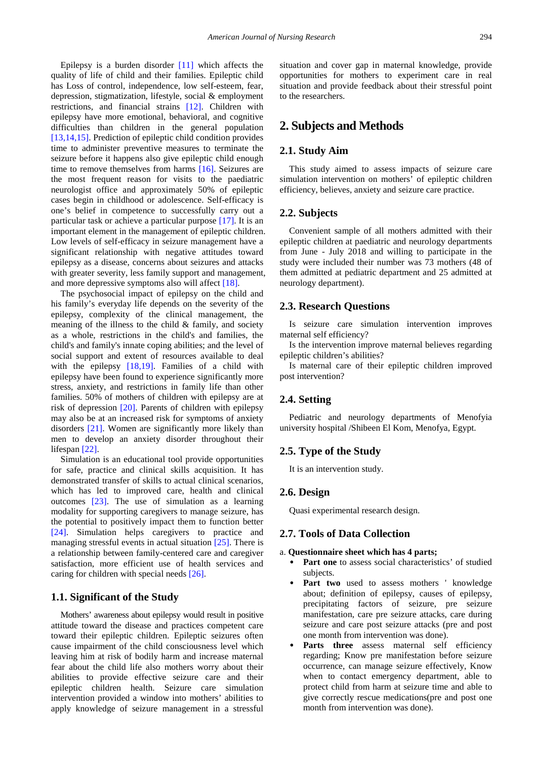Epilepsy is a burden disorder [\[11\]](#page-6-6) which affects the quality of life of child and their families. Epileptic child has Loss of control, independence, low self-esteem, fear, depression, stigmatization, lifestyle, social & employment restrictions, and financial strains [\[12\].](#page-6-7) Children with epilepsy have more emotional, behavioral, and cognitive difficulties than children in the general population [\[13,14,15\].](#page-6-8) Prediction of epileptic child condition provides time to administer preventive measures to terminate the seizure before it happens also give epileptic child enough time to remove themselves from harms [\[16\].](#page-6-9) Seizures are the most frequent reason for visits to the paediatric neurologist office and approximately 50% of epileptic cases begin in childhood or adolescence. Self-efficacy is one's belief in competence to successfully carry out a particular task or achieve a particular purpose [\[17\].](#page-6-10) It is an important element in the management of epileptic children. Low levels of self-efficacy in seizure management have a significant relationship with negative attitudes toward epilepsy as a disease, concerns about seizures and attacks with greater severity, less family support and management, and more depressive symptoms also will affect [\[18\].](#page-6-11)

The psychosocial impact of epilepsy on the child and his family's everyday life depends on the severity of the epilepsy, complexity of the clinical management, the meaning of the illness to the child & family, and society as a whole, restrictions in the child's and families, the child's and family's innate coping abilities; and the level of social support and extent of resources available to deal with the epilepsy [\[18,19\].](#page-6-11) Families of a child with epilepsy have been found to experience significantly more stress, anxiety, and restrictions in family life than other families. 50% of mothers of children with epilepsy are at risk of depression [\[20\].](#page-6-12) Parents of children with epilepsy may also be at an increased risk for symptoms of anxiety disorders [\[21\].](#page-6-13) Women are significantly more likely than men to develop an anxiety disorder throughout their lifespan [\[22\].](#page-6-14)

Simulation is an educational tool provide opportunities for safe, practice and clinical skills acquisition. It has demonstrated transfer of skills to actual clinical scenarios, which has led to improved care, health and clinical outcomes [\[23\].](#page-6-15) The use of simulation as a learning modality for supporting caregivers to manage seizure, has the potential to positively impact them to function better [\[24\].](#page-6-16) Simulation helps caregivers to practice and managing stressful events in actual situation [\[25\].](#page-6-17) There is a relationship between family-centered care and caregiver satisfaction, more efficient use of health services and caring for children with special needs [\[26\].](#page-6-18)

## **1.1. Significant of the Study**

Mothers' awareness about epilepsy would result in positive attitude toward the disease and practices competent care toward their epileptic children. Epileptic seizures often cause impairment of the child consciousness level which leaving him at risk of bodily harm and increase maternal fear about the child life also mothers worry about their abilities to provide effective seizure care and their epileptic children health. Seizure care simulation intervention provided a window into mothers' abilities to apply knowledge of seizure management in a stressful

situation and cover gap in maternal knowledge, provide opportunities for mothers to experiment care in real situation and provide feedback about their stressful point to the researchers.

## **2. Subjects and Methods**

#### **2.1. Study Aim**

This study aimed to assess impacts of seizure care simulation intervention on mothers' of epileptic children efficiency, believes, anxiety and seizure care practice.

#### **2.2. Subjects**

Convenient sample of all mothers admitted with their epileptic children at paediatric and neurology departments from June - July 2018 and willing to participate in the study were included their number was 73 mothers (48 of them admitted at pediatric department and 25 admitted at neurology department).

#### **2.3. Research Questions**

Is seizure care simulation intervention improves maternal self efficiency?

Is the intervention improve maternal believes regarding epileptic children's abilities?

Is maternal care of their epileptic children improved post intervention?

#### **2.4. Setting**

Pediatric and neurology departments of Menofyia university hospital /Shibeen El Kom, Menofya, Egypt.

#### **2.5. Type of the Study**

It is an intervention study.

#### **2.6. Design**

Quasi experimental research design.

#### **2.7. Tools of Data Collection**

#### a. **Questionnaire sheet which has 4 parts;**

- Part one to assess social characteristics' of studied subjects.
- **Part two** used to assess mothers ' knowledge about; definition of epilepsy, causes of epilepsy, precipitating factors of seizure, pre seizure manifestation, care pre seizure attacks, care during seizure and care post seizure attacks (pre and post one month from intervention was done).
- Parts three assess maternal self efficiency regarding; Know pre manifestation before seizure occurrence, can manage seizure effectively, Know when to contact emergency department, able to protect child from harm at seizure time and able to give correctly rescue medications(pre and post one month from intervention was done).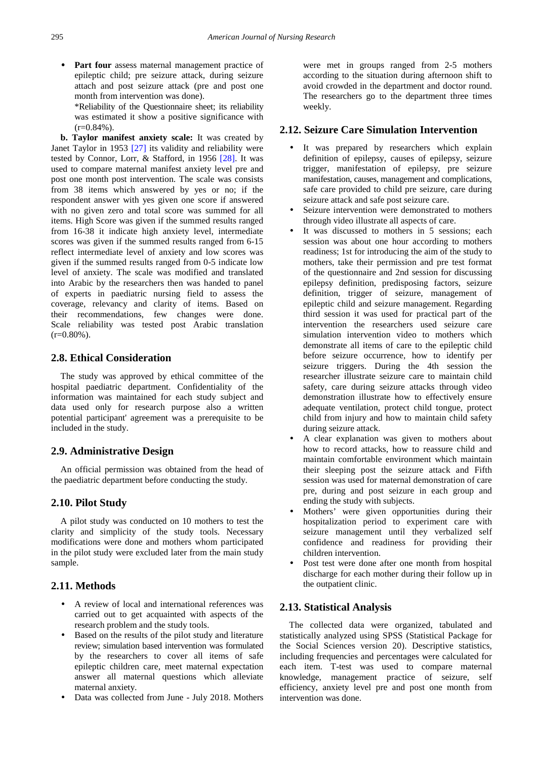- **Part four** assess maternal management practice of epileptic child; pre seizure attack, during seizure attach and post seizure attack (pre and post one month from intervention was done).
	- \*Reliability of the Questionnaire sheet; its reliability was estimated it show a positive significance with  $(r=0.84\%)$ .

**b. Taylor manifest anxiety scale:** It was created by Janet Taylor in 1953 [\[27\]](#page-6-19) its validity and reliability were tested by Connor, Lorr, & Stafford, in 1956 [\[28\].](#page-6-20) It was used to compare maternal manifest anxiety level pre and post one month post intervention. The scale was consists from 38 items which answered by yes or no; if the respondent answer with yes given one score if answered with no given zero and total score was summed for all items. High Score was given if the summed results ranged from 16-38 it indicate high anxiety level, intermediate scores was given if the summed results ranged from 6-15 reflect intermediate level of anxiety and low scores was given if the summed results ranged from 0-5 indicate low level of anxiety. The scale was modified and translated into Arabic by the researchers then was handed to panel of experts in paediatric nursing field to assess the coverage, relevancy and clarity of items. Based on their recommendations, few changes were done. Scale reliability was tested post Arabic translation  $(r=0.80\%)$ .

#### **2.8. Ethical Consideration**

The study was approved by ethical committee of the hospital paediatric department. Confidentiality of the information was maintained for each study subject and data used only for research purpose also a written potential participant' agreement was a prerequisite to be included in the study.

## **2.9. Administrative Design**

An official permission was obtained from the head of the paediatric department before conducting the study.

#### **2.10. Pilot Study**

A pilot study was conducted on 10 mothers to test the clarity and simplicity of the study tools. Necessary modifications were done and mothers whom participated in the pilot study were excluded later from the main study sample.

## **2.11. Methods**

- A review of local and international references was carried out to get acquainted with aspects of the research problem and the study tools.
- Based on the results of the pilot study and literature review; simulation based intervention was formulated by the researchers to cover all items of safe epileptic children care, meet maternal expectation answer all maternal questions which alleviate maternal anxiety.
- Data was collected from June July 2018. Mothers

were met in groups ranged from 2-5 mothers according to the situation during afternoon shift to avoid crowded in the department and doctor round. The researchers go to the department three times weekly.

#### **2.12. Seizure Care Simulation Intervention**

- It was prepared by researchers which explain definition of epilepsy, causes of epilepsy, seizure trigger, manifestation of epilepsy, pre seizure manifestation, causes, management and complications, safe care provided to child pre seizure, care during seizure attack and safe post seizure care.
- Seizure intervention were demonstrated to mothers through video illustrate all aspects of care.
- It was discussed to mothers in 5 sessions; each session was about one hour according to mothers readiness; 1st for introducing the aim of the study to mothers, take their permission and pre test format of the questionnaire and 2nd session for discussing epilepsy definition, predisposing factors, seizure definition, trigger of seizure, management of epileptic child and seizure management. Regarding third session it was used for practical part of the intervention the researchers used seizure care simulation intervention video to mothers which demonstrate all items of care to the epileptic child before seizure occurrence, how to identify per seizure triggers. During the 4th session the researcher illustrate seizure care to maintain child safety, care during seizure attacks through video demonstration illustrate how to effectively ensure adequate ventilation, protect child tongue, protect child from injury and how to maintain child safety during seizure attack.
- A clear explanation was given to mothers about how to record attacks, how to reassure child and maintain comfortable environment which maintain their sleeping post the seizure attack and Fifth session was used for maternal demonstration of care pre, during and post seizure in each group and ending the study with subjects.
- Mothers' were given opportunities during their hospitalization period to experiment care with seizure management until they verbalized self confidence and readiness for providing their children intervention.
- Post test were done after one month from hospital discharge for each mother during their follow up in the outpatient clinic.

#### **2.13. Statistical Analysis**

The collected data were organized, tabulated and statistically analyzed using SPSS (Statistical Package for the Social Sciences version 20). Descriptive statistics, including frequencies and percentages were calculated for each item. T-test was used to compare maternal knowledge, management practice of seizure, self efficiency, anxiety level pre and post one month from intervention was done.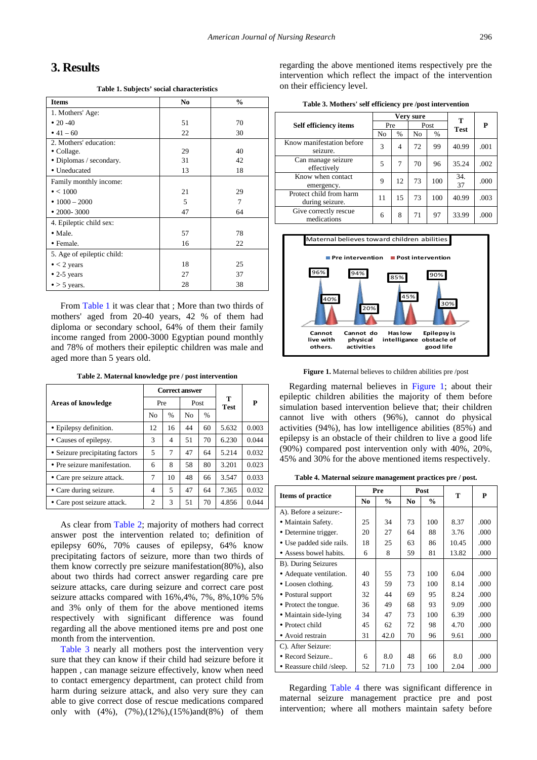# **3. Results**

**Table 1. Subjects' social characteristics**

<span id="page-3-0"></span>

| <b>Items</b>               | N <sub>0</sub> | $\frac{0}{0}$ |
|----------------------------|----------------|---------------|
| 1. Mothers' Age:           |                |               |
| $\cdot$ 20 -40             | 51             | 70            |
| • $41 - 60$                | 22             | 30            |
| 2. Mothers' education:     |                |               |
| • Collage.                 | 29             | 40            |
| • Diplomas / secondary.    | 31             | 42            |
| • Uneducated               | 13             | 18            |
| Family monthly income:     |                |               |
| $\bullet$ < 1000           | 21             | 29            |
| • $1000 - 2000$            | 5              | 7             |
| $\cdot$ 2000-3000          | 47             | 64            |
| 4. Epileptic child sex:    |                |               |
| $\bullet$ Male.            | 57             | 78            |
| • Female.                  | 16             | 22            |
| 5. Age of epileptic child: |                |               |
| $\bullet$ < 2 years        | 18             | 25            |
| $\bullet$ 2-5 years        | 27             | 37            |
| $\bullet$ > 5 years.       | 28             | 38            |

From [Table](#page-3-0) 1 it was clear that ; More than two thirds of mothers' aged from 20-40 years, 42 % of them had diploma or secondary school, 64% of them their family income ranged from 2000-3000 Egyptian pound monthly and 78% of mothers their epileptic children was male and aged more than 5 years old.

**Table 2. Maternal knowledge pre / post intervention**

<span id="page-3-1"></span>

|                                 |                |      | <b>Correct answer</b> |               |                  |       |
|---------------------------------|----------------|------|-----------------------|---------------|------------------|-------|
| <b>Areas of knowledge</b>       | Pre            |      | Post                  |               | т<br><b>Test</b> | P     |
|                                 | N <sub>0</sub> | $\%$ | N <sub>0</sub>        | $\frac{0}{0}$ |                  |       |
| • Epilepsy definition.          | 12             | 16   | 44                    | 60            | 5.632            | 0.003 |
| • Causes of epilepsy.           | 3              | 4    | 51                    | 70            | 6.230            | 0.044 |
| • Seizure precipitating factors | 5              | 7    | 47                    | 64            | 5.214            | 0.032 |
| • Pre seizure manifestation.    | 6              | 8    | 58                    | 80            | 3.201            | 0.023 |
| • Care pre seizure attack.      | 7              | 10   | 48                    | 66            | 3.547            | 0.033 |
| • Care during seizure.          | 4              | 5    | 47                    | 64            | 7.365            | 0.032 |
| • Care post seizure attack.     | 2              | 3    | 51                    | 70            | 4.856            | 0.044 |

As clear from [Table 2;](#page-3-1) majority of mothers had correct answer post the intervention related to; definition of epilepsy 60%, 70% causes of epilepsy, 64% know precipitating factors of seizure, more than two thirds of them know correctly pre seizure manifestation(80%), also about two thirds had correct answer regarding care pre seizure attacks, care during seizure and correct care post seizure attacks compared with 16%,4%, 7%, 8%,10% 5% and 3% only of them for the above mentioned items respectively with significant difference was found regarding all the above mentioned items pre and post one month from the intervention.

[Table 3](#page-3-2) nearly all mothers post the intervention very sure that they can know if their child had seizure before it happen , can manage seizure effectively, know when need to contact emergency department, can protect child from harm during seizure attack, and also very sure they can able to give correct dose of rescue medications compared only with (4%), (7%),(12%),(15%)and(8%) of them

regarding the above mentioned items respectively pre the intervention which reflect the impact of the intervention on their efficiency level.

| Table 3. Mothers' self efficiency pre/post intervention |  |  |  |  |  |  |
|---------------------------------------------------------|--|--|--|--|--|--|
|---------------------------------------------------------|--|--|--|--|--|--|

<span id="page-3-2"></span>

|                                            | Very sure |      |      |      | т           |      |
|--------------------------------------------|-----------|------|------|------|-------------|------|
| <b>Self efficiency items</b>               | Pre       |      | Post |      | <b>Test</b> | P    |
|                                            | No        | $\%$ | No   | $\%$ |             |      |
| Know manifestation before<br>seizure.      | 3         | 4    | 72   | 99   | 40.99       | .001 |
| Can manage seizure<br>effectively          | 5         | 7    | 70   | 96   | 35.24       | .002 |
| Know when contact<br>emergency.            | 9         | 12   | 73   | 100  | 34.<br>37   | .000 |
| Protect child from harm<br>during seizure. | 11        | 15   | 73   | 100  | 40.99       | .003 |
| Give correctly rescue<br>medications       | 6         | 8    | 71   | 97   | 33.99       | .000 |

<span id="page-3-3"></span>

**Figure 1.** Maternal believes to children abilities pre /post

Regarding maternal believes in [Figure 1;](#page-3-3) about their epileptic children abilities the majority of them before simulation based intervention believe that; their children cannot live with others (96%), cannot do physical activities (94%), has low intelligence abilities (85%) and epilepsy is an obstacle of their children to live a good life (90%) compared post intervention only with 40%, 20%, 45% and 30% for the above mentioned items respectively.

**Table 4. Maternal seizure management practices pre / post.**

<span id="page-3-4"></span>

|                          | Pre            |               |                | Post          | T     | P    |
|--------------------------|----------------|---------------|----------------|---------------|-------|------|
| Items of practice        | N <sub>0</sub> | $\frac{0}{0}$ | N <sub>0</sub> | $\frac{0}{0}$ |       |      |
| A). Before a seizure:-   |                |               |                |               |       |      |
| • Maintain Safety.       | 25             | 34            | 73             | 100           | 8.37  | .000 |
| • Determine trigger.     | 20             | 27            | 64             | 88            | 3.76  | .000 |
| • Use padded side rails. | 18             | 25            | 63             | 86            | 10.45 | .000 |
| • Assess bowel habits.   | 6              | 8             | 59             | 81            | 13.82 | .000 |
| B). During Seizures      |                |               |                |               |       |      |
| • Adequate ventilation.  | 40             | 55            | 73             | 100           | 6.04  | .000 |
| • Loosen clothing.       | 43             | 59            | 73             | 100           | 8.14  | .000 |
| • Postural support       | 32             | 44            | 69             | 95            | 8.24  | .000 |
| • Protect the tongue.    | 36             | 49            | 68             | 93            | 9.09  | .000 |
| • Maintain side-lying    | 34             | 47            | 73             | 100           | 6.39  | .000 |
| • Protect child          | 45             | 62            | 72             | 98            | 4.70  | .000 |
| • Avoid restrain         | 31             | 42.0          | 70             | 96            | 9.61  | .000 |
| C). After Seizure:       |                |               |                |               |       |      |
| • Record Seizure         | 6              | 8.0           | 48             | 66            | 8.0   | .000 |
| • Reassure child /sleep. | 52             | 71.0          | 73             | 100           | 2.04  | .000 |

Regarding [Table 4](#page-3-4) there was significant difference in maternal seizure management practice pre and post intervention; where all mothers maintain safety before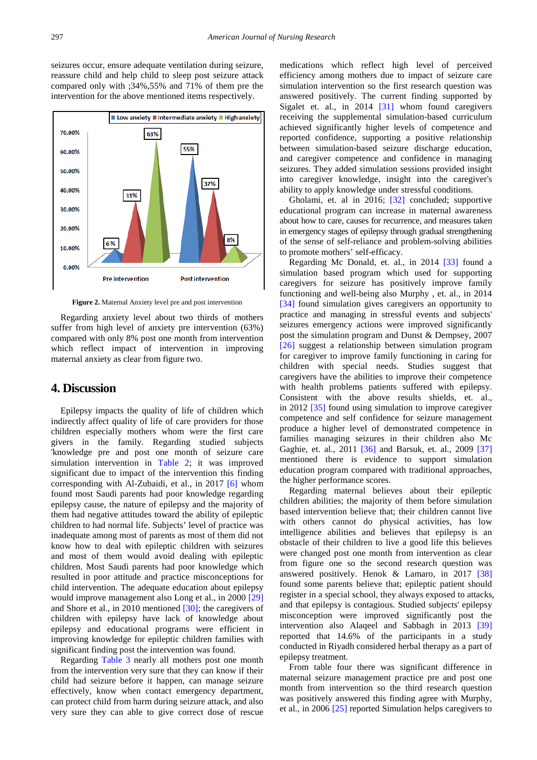seizures occur, ensure adequate ventilation during seizure, reassure child and help child to sleep post seizure attack compared only with ;34%,55% and 71% of them pre the intervention for the above mentioned items respectively.

<span id="page-4-0"></span>

**Figure 2.** Maternal Anxiety level pre and post intervention

Regarding anxiety level about two thirds of mothers suffer from high level of anxiety pre intervention (63%) compared with only 8% post one month from intervention which reflect impact of intervention in improving maternal anxiety as clear from figure two.

# **4. Discussion**

Epilepsy impacts the quality of life of children which indirectly affect quality of life of care providers for those children especially mothers whom were the first care givers in the family. Regarding studied subjects 'knowledge pre and post one month of seizure care simulation intervention in [Table 2;](#page-3-1) it was improved significant due to impact of the intervention this finding corresponding with Al-Zubaidi, et al., in 2017 [\[6\]](#page-6-21) whom found most Saudi parents had poor knowledge regarding epilepsy cause, the nature of epilepsy and the majority of them had negative attitudes toward the ability of epileptic children to had normal life. Subjects' level of practice was inadequate among most of parents as most of them did not know how to deal with epileptic children with seizures and most of them would avoid dealing with epileptic children. Most Saudi parents had poor knowledge which resulted in poor attitude and practice misconceptions for child intervention. The adequate education about epilepsy would improve management also Long et al., in 2000 [\[29\]](#page-6-22) and Shore et al., in 2010 mentioned [\[30\];](#page-6-23) the caregivers of children with epilepsy have lack of knowledge about epilepsy and educational programs were efficient in improving knowledge for epileptic children families with significant finding post the intervention was found.

Regarding [Table 3](#page-3-2) nearly all mothers post one month from the intervention very sure that they can know if their child had seizure before it happen, can manage seizure effectively, know when contact emergency department, can protect child from harm during seizure attack, and also very sure they can able to give correct dose of rescue

medications which reflect high level of perceived efficiency among mothers due to impact of seizure care simulation intervention so the first research question was answered positively. The current finding supported by Sigalet et. al., in 2014 [\[31\]](#page-6-24) whom found caregivers receiving the supplemental simulation-based curriculum achieved significantly higher levels of competence and reported confidence, supporting a positive relationship between simulation-based seizure discharge education, and caregiver competence and confidence in managing seizures. They added simulation sessions provided insight into caregiver knowledge, insight into the caregiver's ability to apply knowledge under stressful conditions.

Gholami, et. al in 2016; [\[32\]](#page-6-25) concluded; supportive educational program can increase in maternal awareness about how to care, causes for recurrence, and measures taken in emergency stages of epilepsy through gradual strengthening of the sense of self-reliance and problem-solving abilities to promote mothers' self-efficacy.

Regarding Mc Donald, et. al., in 2014 [\[33\]](#page-6-26) found a simulation based program which used for supporting caregivers for seizure has positively improve family functioning and well-being also Murphy , et. al., in 2014 [\[34\]](#page-6-27) found simulation gives caregivers an opportunity to practice and managing in stressful events and subjects' seizures emergency actions were improved significantly post the simulation program and Dunst & Dempsey, 2007 [\[26\]](#page-6-18) suggest a relationship between simulation program for caregiver to improve family functioning in caring for children with special needs. Studies suggest that caregivers have the abilities to improve their competence with health problems patients suffered with epilepsy. Consistent with the above results shields, et. al., in 2012 [\[35\]](#page-6-28) found using simulation to improve caregiver competence and self confidence for seizure management produce a higher level of demonstrated competence in families managing seizures in their children also Mc Gaghie, et. al., 2011 [\[36\]](#page-6-29) and Barsuk, et. al., 2009 [\[37\]](#page-6-30) mentioned there is evidence to support simulation education program compared with traditional approaches, the higher performance scores.

Regarding maternal believes about their epileptic children abilities; the majority of them before simulation based intervention believe that; their children cannot live with others cannot do physical activities, has low intelligence abilities and believes that epilepsy is an obstacle of their children to live a good life this believes were changed post one month from intervention as clear from figure one so the second research question was answered positively. Henok & Lamaro, in 2017 [\[38\]](#page-6-31) found some parents believe that; epileptic patient should register in a special school, they always exposed to attacks, and that epilepsy is contagious. Studied subjects' epilepsy misconception were improved significantly post the intervention also Alaqeel and Sabbagh in 2013 [\[39\]](#page-6-32) reported that 14.6% of the participants in a study conducted in Riyadh considered herbal therapy as a part of epilepsy treatment.

From table four there was significant difference in maternal seizure management practice pre and post one month from intervention so the third research question was positively answered this finding agree with Murphy, et al., in 2006 [\[25\]](#page-6-17) reported Simulation helps caregivers to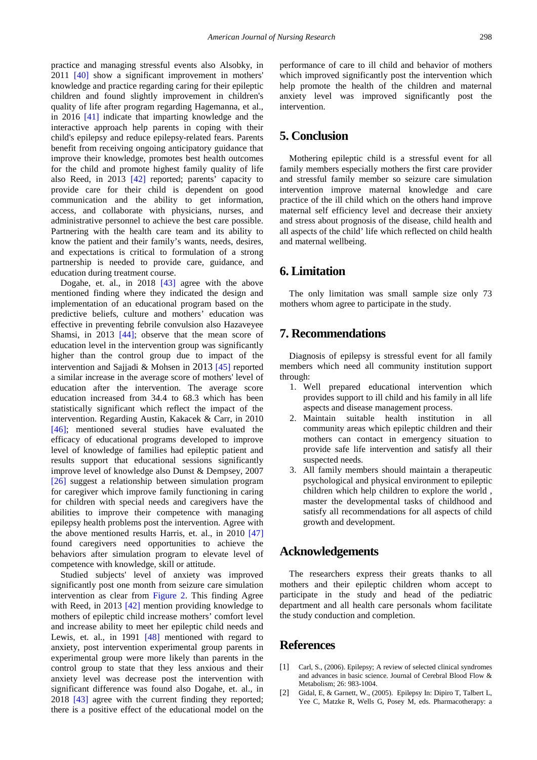practice and managing stressful events also Alsobky, in 2011 [\[40\]](#page-6-33) show a significant improvement in mothers' knowledge and practice regarding caring for their epileptic children and found slightly improvement in children's quality of life after program regarding Hagemanna, et al., in 2016 [\[41\]](#page-6-34) indicate that imparting knowledge and the interactive approach help parents in coping with their child's epilepsy and reduce epilepsy-related fears. Parents benefit from receiving ongoing anticipatory guidance that improve their knowledge, promotes best health outcomes for the child and promote highest family quality of life also Reed, in 2013 [\[42\]](#page-6-35) reported; parents' capacity to provide care for their child is dependent on good communication and the ability to get information, access, and collaborate with physicians, nurses, and administrative personnel to achieve the best care possible. Partnering with the health care team and its ability to know the patient and their family's wants, needs, desires, and expectations is critical to formulation of a strong partnership is needed to provide care, guidance, and education during treatment course.

Dogahe, et. al., in 2018 [\[43\]](#page-6-36) agree with the above mentioned finding where they indicated the design and implementation of an educational program based on the predictive beliefs, culture and mothers' education was effective in preventing febrile convulsion also Hazaveyee Shamsi, in 2013 [\[44\];](#page-6-37) observe that the mean score of education level in the intervention group was significantly higher than the control group due to impact of the intervention and Sajjadi & Mohsen in 2013 [\[45\]](#page-6-38) reported a similar increase in the average score of mothers' level of education after the intervention. The average score education increased from 34.4 to 68.3 which has been statistically significant which reflect the impact of the intervention. Regarding Austin, Kakacek & Carr, in 2010 [\[46\];](#page-6-39) mentioned several studies have evaluated the efficacy of educational programs developed to improve level of knowledge of families had epileptic patient and results support that educational sessions significantly improve level of knowledge also Dunst & Dempsey, 2007 [\[26\]](#page-6-18) suggest a relationship between simulation program for caregiver which improve family functioning in caring for children with special needs and caregivers have the abilities to improve their competence with managing epilepsy health problems post the intervention. Agree with the above mentioned results Harris, et. al., in 2010 [\[47\]](#page-7-0) found caregivers need opportunities to achieve the behaviors after simulation program to elevate level of competence with knowledge, skill or attitude.

Studied subjects' level of anxiety was improved significantly post one month from seizure care simulation intervention as clear from [Figure 2.](#page-4-0) This finding Agree with Reed, in 2013 [\[42\]](#page-6-35) mention providing knowledge to mothers of epileptic child increase mothers' comfort level and increase ability to meet her epileptic child needs and Lewis, et. al., in 1991 [\[48\]](#page-7-1) mentioned with regard to anxiety, post intervention experimental group parents in experimental group were more likely than parents in the control group to state that they less anxious and their anxiety level was decrease post the intervention with significant difference was found also Dogahe, et. al., in 2018 [\[43\]](#page-6-36) agree with the current finding they reported; there is a positive effect of the educational model on the

performance of care to ill child and behavior of mothers which improved significantly post the intervention which help promote the health of the children and maternal anxiety level was improved significantly post the intervention.

# **5. Conclusion**

Mothering epileptic child is a stressful event for all family members especially mothers the first care provider and stressful family member so seizure care simulation intervention improve maternal knowledge and care practice of the ill child which on the others hand improve maternal self efficiency level and decrease their anxiety and stress about prognosis of the disease, child health and all aspects of the child' life which reflected on child health and maternal wellbeing.

# **6. Limitation**

The only limitation was small sample size only 73 mothers whom agree to participate in the study.

# **7. Recommendations**

Diagnosis of epilepsy is stressful event for all family members which need all community institution support through:

- 1. Well prepared educational intervention which provides support to ill child and his family in all life aspects and disease management process.
- 2. Maintain suitable health institution in all community areas which epileptic children and their mothers can contact in emergency situation to provide safe life intervention and satisfy all their suspected needs.
- 3. All family members should maintain a therapeutic psychological and physical environment to epileptic children which help children to explore the world , master the developmental tasks of childhood and satisfy all recommendations for all aspects of child growth and development.

# **Acknowledgements**

The researchers express their greats thanks to all mothers and their epileptic children whom accept to participate in the study and head of the pediatric department and all health care personals whom facilitate the study conduction and completion.

# **References**

- <span id="page-5-0"></span>[1] Carl, S., (2006). Epilepsy; A review of selected clinical syndromes and advances in basic science. Journal of Cerebral Blood Flow & Metabolism; 26: 983-1004.
- <span id="page-5-1"></span>[2] Gidal, E, & Garnett, W., (2005). Epilepsy In: Dipiro T, Talbert L, Yee C, Matzke R, Wells G, Posey M, eds. Pharmacotherapy: a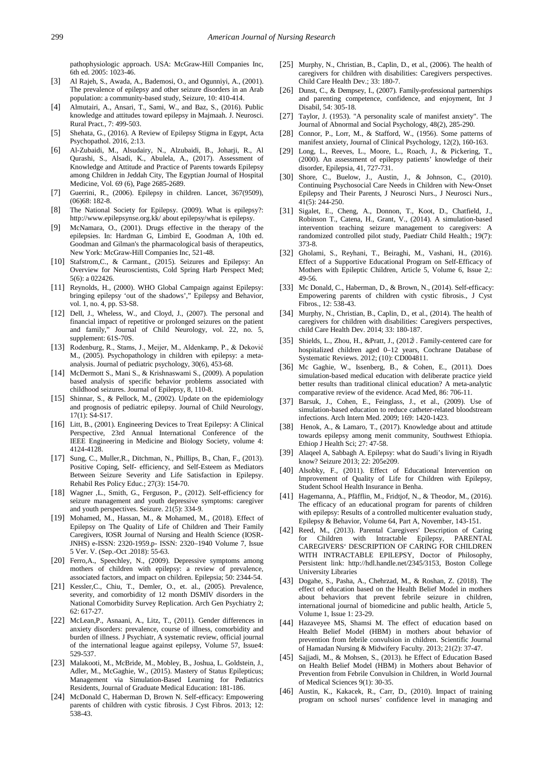pathophysiologic approach. USA: McGraw-Hill Companies Inc, 6th ed. 2005: 1023-46.

- <span id="page-6-0"></span>[3] Al Rajeh, S., Awada, A., Bademosi, O., and Ogunniyi, A., (2001). The prevalence of epilepsy and other seizure disorders in an Arab population: a community-based study, Seizure, 10: 410-414.
- [4] Almutairi, A., Ansari, T., Sami, W., and Baz, S., (2016). Public knowledge and attitudes toward epilepsy in Majmaah. J. Neurosci. Rural Pract., 7: 499-503.
- <span id="page-6-1"></span>[5] Shehata, G., (2016). A Review of Epilepsy Stigma in Egypt, Acta Psychopathol. 2016, 2:13.
- <span id="page-6-21"></span>[6] Al-Zubaidi, M., Alsudairy, N., Alzubaidi, B., Joharji, R., Al Qurashi, S., Alsadi, K., Abulela, A., (2017). Assessment of Knowledge and Attitude and Practice of Parents towards Epilepsy among Children in Jeddah City, The Egyptian Journal of Hospital Medicine, Vol. 69 (6), Page 2685-2689.
- <span id="page-6-2"></span>[7] Guerrini, R., (2006). Epilepsy in children. Lancet, 367(9509), (06)68: 182-8.
- <span id="page-6-3"></span>[8] The National Society for Epilepsy. (2009). What is epilepsy?: http://www.epilepsynse.org.kk/ about epilepsy/what is epilepsy.
- <span id="page-6-4"></span>McNamara, O., (2001). Drugs effective in the therapy of the epilepsies. In: Hardman G, Limbird E, Goodman A, 10th ed. Goodman and Gilman's the pharmacological basis of therapeutics, New York: McGraw-Hill Companies Inc, 521-48.
- <span id="page-6-5"></span>[10] Stafstrom,C., & Carmant., (2015). Seizures and Epilepsy: An Overview for Neuroscientists, Cold Spring Harb Perspect Med; 5(6): a 022426.
- <span id="page-6-6"></span>[11] Reynolds, H., (2000). WHO Global Campaign against Epilepsy: bringing epilepsy 'out of the shadows'," Epilepsy and Behavior, vol. 1, no. 4, pp. S3-S8.
- <span id="page-6-7"></span>[12] Dell, J., Wheless, W., and Cloyd, J., (2007). The personal and financial impact of repetitive or prolonged seizures on the patient and family," Journal of Child Neurology, vol. 22, no. 5, supplement: 61S-70S.
- <span id="page-6-8"></span>[13] Rodenburg, R., Stams, J., Meijer, M., Aldenkamp, P., & Deković M., (2005). Psychopathology in children with epilepsy: a metaanalysis. Journal of pediatric psychology, 30(6), 453-68.
- [14] McDermott S., Mani S., & Krishnaswami S., (2009). A population based analysis of specific behavior problems associated with childhood seizures. Journal of Epilepsy, 8, 110-8.
- [15] Shinnar, S., & Pellock, M., (2002). Update on the epidemiology and prognosis of pediatric epilepsy. Journal of Child Neurology,  $17(1)$ : S4-S17.
- <span id="page-6-9"></span>[16] Litt, B., (2001). Engineering Devices to Treat Epilepsy: A Clinical Perspective, 23rd Annual International Conference of the IEEE Engineering in Medicine and Biology Society, volume 4: 4124-4128.
- <span id="page-6-10"></span>[17] Sung, C., Muller, R., Ditchman, N., Phillips, B., Chan, F., (2013). Positive Coping, Self- efficiency, and Self-Esteem as Mediators Between Seizure Severity and Life Satisfaction in Epilepsy. Rehabil Res Policy Educ.; 27(3): 154-70.
- <span id="page-6-11"></span>[18] Wagner ,L., Smith, G., Ferguson, P., (2012). Self-efficiency for seizure management and youth depressive symptoms: caregiver and youth perspectives. Seizure.  $21(5)$ : 334-9.
- [19] Mohamed, M., Hassan, M., & Mohamed, M., (2018). Effect of Epilepsy on The Quality of Life of Children and Their Family Caregivers, IOSR Journal of Nursing and Health Science (IOSR-JNHS) e-ISSN: 2320-1959.p- ISSN: 2320–1940 Volume 7, Issue 5 Ver. V. (Sep.-Oct .2018): 55-63.
- <span id="page-6-12"></span>[20] Ferro,A., Speechley, N., (2009). Depressive symptoms among mothers of children with epilepsy: a review of prevalence, associated factors, and impact on children. Epilepsia; 50: 2344-54.
- <span id="page-6-13"></span>[21] Kessler,C., Chiu, T., Demler, O., et. al., (2005). Prevalence, severity, and comorbidity of 12 month DSMIV disorders in the National Comorbidity Survey Replication. Arch Gen Psychiatry 2;  $62.617 - 27$
- <span id="page-6-14"></span>[22] McLean,P., Asnaani, A., Litz, T., (2011). Gender differences in anxiety disorders: prevalence, course of illness, comorbidity and burden of illness. J Psychiatr, A systematic review, official journal of the international league against epilepsy, Volume 57, Issue4: 529-537.
- <span id="page-6-15"></span>[23] Malakooti, M., McBride, M., Mobley, B., Joshua, L. Goldstein, J., Adler, M., McGaghie, W., (2015). Mastery of Status Epilepticus; Management via Simulation-Based Learning for Pediatrics Residents, Journal of Graduate Medical Education: 181-186.
- <span id="page-6-16"></span>[24] McDonald C, Haberman D, Brown N, Self-efficacy: Empowering parents of children with cystic fibrosis. J Cyst Fibros. 2013; 12: 538-43.
- <span id="page-6-17"></span>[25] Murphy, N., Christian, B., Caplin, D., et al., (2006). The health of caregivers for children with disabilities: Caregivers perspectives. Child Care Health Dev.; 33: 180-7.
- <span id="page-6-18"></span>[26] Dunst, C., & Dempsey, I., (2007). Family-professional partnerships and parenting competence, confidence, and enjoyment, Int J Disabil, 54: 305-18.
- <span id="page-6-19"></span>[27] Taylor, J. (1953). "A personality scale of manifest anxiety". The Journal of Abnormal and Social Psychology, 48(2), 285-290.
- <span id="page-6-20"></span>[28] Connor, P., Lorr, M., & Stafford, W., (1956). Some patterns of manifest anxiety, Journal of Clinical Psychology, 12(2), 160-163.
- <span id="page-6-22"></span>[29] Long, L., Reeves, L., Moore, L., Roach, J., & Pickering, T., (2000). An assessment of epilepsy patients' knowledge of their disorder, Epilepsia, 41, 727-731.
- <span id="page-6-23"></span>[30] Shore, C., Buelow, J., Austin, J., & Johnson, C., (2010). Continuing Psychosocial Care Needs in Children with New-Onset Epilepsy and Their Parents, J Neurosci Nurs., J Neurosci Nurs., 41(5): 244-250.
- <span id="page-6-24"></span>[31] Sigalet, E., Cheng, A., Donnon, T., Koot, D., Chatfield, J., Robinson T., Catena, H., Grant, V., (2014). A simulation-based intervention teaching seizure management to caregivers: A randomized controlled pilot study, Paediatr Child Health.; 19(7): 373-8.
- <span id="page-6-25"></span>[32] Gholami, S., Reyhani, T., Beiraghi, M., Vashani, H., (2016). Effect of a Supportive Educational Program on Self-Efficacy of Mothers with Epileptic Children, Article 5, Volume 6, Issue 2,: 49-56.
- <span id="page-6-26"></span>[33] Mc Donald, C., Haberman, D., & Brown, N., (2014). Self-efficacy: Empowering parents of children with cystic fibrosis., J Cyst Fibros., 12: 538-43.
- <span id="page-6-27"></span>[34] Murphy, N., Christian, B., Caplin, D., et al., (2014). The health of caregivers for children with disabilities: Caregivers perspectives, child Care Health Dev. 2014; 33: 180-187.
- <span id="page-6-28"></span>[35] Shields, L., Zhou, H., &Pratt, J., (2012). Family-centered care for hospitalized children aged 0–12 years, Cochrane Database of Systematic Reviews. 2012; (10): CD004811.
- <span id="page-6-29"></span>[36] Mc Gaghie, W., Issenberg, B., & Cohen, E., (2011). Does simulation-based medical education with deliberate practice yield better results than traditional clinical education? A meta-analytic comparative review of the evidence. Acad Med, 86: 706-11.
- <span id="page-6-30"></span>[37] Barsuk, J., Cohen, E., Feinglass, J., et al., (2009). Use of simulation-based education to reduce catheter-related bloodstream infections. Arch Intern Med. 2009; 169: 1420-1423.
- <span id="page-6-31"></span>[38] Henok, A., & Lamaro, T., (2017). Knowledge about and attitude towards epilepsy among menit community, Southwest Ethiopia. Ethiop J Health Sci; 27: 47-58.
- <span id="page-6-32"></span>[39] Alaqeel A, Sabbagh A. Epilepsy: what do Saudi's living in Riyadh know? Seizure 2013; 22: 205e209.
- <span id="page-6-33"></span>[40] Alsobky, F., (2011). Effect of Educational Intervention on Improvement of Quality of Life for Children with Epilepsy, Student School Health Insurance in Benha.
- <span id="page-6-34"></span>[41] Hagemanna, A., Pfäfflin, M., Fridtjof, N., & Theodor, M., (2016). The efficacy of an educational program for parents of children with epilepsy: Results of a controlled multicenter evaluation study, Epilepsy & Behavior, Volume 64, Part A, November, 143-151.
- <span id="page-6-35"></span>[42] Reed, M., (2013). Parental Caregivers' Description of Caring for Children with Intractable Epilepsy, PARENTAL CAREGIVERS' DESCRIPTION OF CARING FOR CHILDREN WITH INTRACTABLE EPILEPSY, Doctor of Philosophy, Persistent link: http://hdl.handle.net/2345/3153, Boston College University Libraries
- <span id="page-6-36"></span>[43] Dogahe, S., Pasha, A., Chehrzad, M., & Roshan, Z. (2018). The effect of education based on the Health Belief Model in mothers about behaviors that prevent febrile seizure in children, international journal of biomedicine and public health, Article 5, Volume 1, Issue 1: 23-29.
- <span id="page-6-37"></span>[44] Hazaveyee MS, Shamsi M. The effect of education based on Health Belief Model (HBM) in mothers about behavior of prevention from febrile convulsion in children. Scientific Journal of Hamadan Nursing & Midwifery Faculty. 2013; 21(2): 37-47.
- <span id="page-6-38"></span>[45] Sajjadi, M., & Mohsen, S., (2013). he Effect of Education Based on Health Belief Model (HBM) in Mothers about Behavior of Prevention from Febrile Convulsion in Children, in World Journal of Medical Sciences 9(1): 30-35.
- <span id="page-6-39"></span>[46] Austin, K., Kakacek, R., Carr, D., (2010). Impact of training program on school nurses' confidence level in managing and